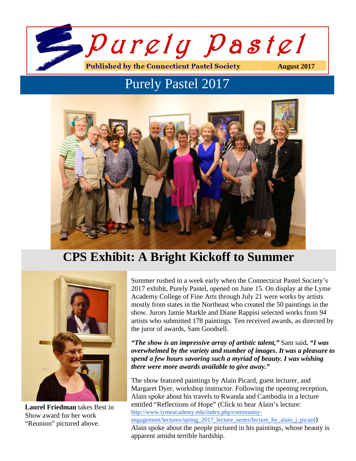

# Purely Pastel 2017



# **CPS Exhibit: A Bright Kickoff to Summer**



**Laurel Friedman** takes Best in Show award for her work "Reunion" pictured above.

Summer rushed in a week early when the Connecticut Pastel Society's 2017 exhibit, Purely Pastel, opened on June 15. On display at the Lyme Academy College of Fine Arts through July 21 were works by artists mostly from states in the Northeast who created the 50 paintings in the show. Jurors Jamie Markle and Diane Rappisi selected works from 94 artists who submitted 178 paintings. Ten received awards, as directed by the juror of awards, Sam Goodsell.

#### *"The show is an impressive array of artistic talent,"* Sam said*. "I was overwhelmed by the variety and number of images. It was a pleasure to spend a few hours savoring such a myriad of beauty. I was wishing there were more awards available to give away."*

The show featured paintings by Alain Picard, guest lecturer, and Margaret Dyer, workshop instructor. Following the opening reception, Alain spoke about his travels to Rwanda and Cambodia in a lecture entitled "Reflections of Hope" (Click to hear Alain's lecture: http://www.lymeacademy.edu/index.php/community-

engagement/lectures/spring\_2017\_lecture\_series/lecture\_by\_alain\_j\_picard) Alain spoke about the people pictured in his paintings, whose beauty is apparent amidst terrible hardship.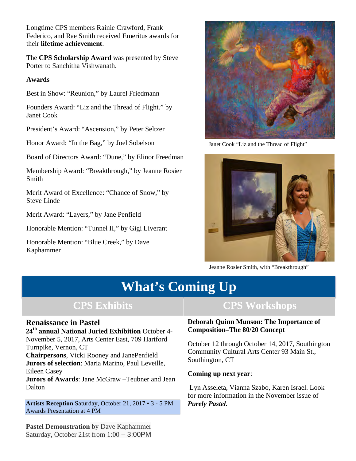Longtime CPS members Rainie Crawford, Frank Federico, and Rae Smith received Emeritus awards for their **lifetime achievement**.

The **CPS Scholarship Award** was presented by Steve Porter to Sanchitha Vishwanath.

#### **Awards**

2

Best in Show: "Reunion," by Laurel Friedmann

Founders Award: "Liz and the Thread of Flight." by Janet Cook

President's Award: "Ascension," by Peter Seltzer

Honor Award: "In the Bag," by Joel Sobelson

Board of Directors Award: "Dune," by Elinor Freedman

Membership Award: "Breakthrough," by Jeanne Rosier Smith

Merit Award of Excellence: "Chance of Snow," by Steve Linde

Merit Award: "Layers," by Jane Penfield

Honorable Mention: "Tunnel II," by Gigi Liverant

Honorable Mention: "Blue Creek," by Dave Kaphammer



Janet Cook "Liz and the Thread of Flight"



Jeanne Rosier Smith, with "Breakthrough"

# **What's Coming Up**

### **Renaissance in Pastel**

**24th annual National Juried Exhibition** October 4- November 5, 2017, Arts Center East, 709 Hartford Turnpike, Vernon, CT

**Chairpersons**, Vicki Rooney and JanePenfield **Jurors of selection**: Maria Marino, Paul Leveille, Eileen Casey

**Jurors of Awards**: Jane McGraw –Teubner and Jean Dalton

**Artists Reception** Saturday, October 21, 2017 • 3 - 5 PM Awards Presentation at 4 PM

## **CPS Exhibits CPS Workshops**

#### **Deborah Quinn Munson: The Importance of Composition–The 80/20 Concept**

October 12 through October 14, 2017, Southington Community Cultural Arts Center 93 Main St., Southington, CT

#### **Coming up next year**:

Lyn Asseleta, Vianna Szabo, Karen Israel. Look for more information in the November issue of *Purely Pastel.*

**Pastel Demonstration** by Dave Kaphammer Saturday, October 21st from 1:00 – 3:00PM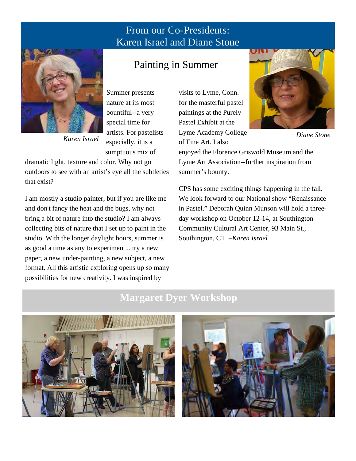## From our Co-Presidents: Karen Israel and Diane Stone



Summer presents nature at its most bountiful--a very special time for artists. For pastelists especially, it is a sumptuous mix of

dramatic light, texture and color. Why not go outdoors to see with an artist's eye all the subtleties that exist?

*Karen Israel*

I am mostly a studio painter, but if you are like me and don't fancy the heat and the bugs, why not bring a bit of nature into the studio? I am always collecting bits of nature that I set up to paint in the studio. With the longer daylight hours, summer is as good a time as any to experiment... try a new paper, a new under-painting, a new subject, a new format. All this artistic exploring opens up so many possibilities for new creativity. I was inspired by

## Painting in Summer

visits to Lyme, Conn. for the masterful pastel paintings at the Purely Pastel Exhibit at the Lyme Academy College of Fine Art. I also



*Diane Stone* 

enjoyed the Florence Griswold Museum and the Lyme Art Association--further inspiration from summer's bounty.

CPS has some exciting things happening in the fall. We look forward to our National show "Renaissance in Pastel." Deborah Quinn Munson will hold a threeday workshop on October 12-14, at Southington Community Cultural Art Center, 93 Main St., Southington, CT. –*Karen Israel*

## **Margaret Dyer Workshop**



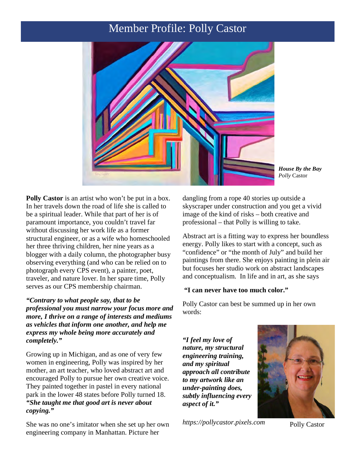## Member Profile: Polly Castor



*House By the Bay Polly* Castor

Polly Castor is an artist who won't be put in a box. In her travels down the road of life she is called to be a spiritual leader. While that part of her is of paramount importance, you couldn't travel far without discussing her work life as a former structural engineer, or as a wife who homeschooled her three thriving children, her nine years as a blogger with a daily column, the photographer busy observing everything (and who can be relied on to photograph every CPS event), a painter, poet, traveler, and nature lover. In her spare time, Polly serves as our CPS membership chairman.

*"Contrary to what people say, that to be professional you must narrow your focus more and more, I thrive on a range of interests and mediums as vehicles that inform one another, and help me express my whole being more accurately and completely."*

Growing up in Michigan, and as one of very few women in engineering, Polly was inspired by her mother, an art teacher, who loved abstract art and encouraged Polly to pursue her own creative voice. They painted together in pastel in every national park in the lower 48 states before Polly turned 18. *"She taught me that good art is never about copying."*

She was no one's imitator when she set up her own engineering company in Manhattan. Picture her

dangling from a rope 40 stories up outside a skyscraper under construction and you get a vivid image of the kind of risks – both creative and professional – that Polly is willing to take.

Abstract art is a fitting way to express her boundless energy. Polly likes to start with a concept, such as "confidence" or "the month of July" and build her paintings from there. She enjoys painting in plein air but focuses her studio work on abstract landscapes and conceptualism. In life and in art, as she says

#### **"I can never have too much color."**

Polly Castor can best be summed up in her own words:

*"I feel my love of nature, my structural engineering training, and my spiritual approach all contribute to my artwork like an under-painting does, subtly influencing every aspect of it."*

*https://pollycastor.pixels.com* Polly Castor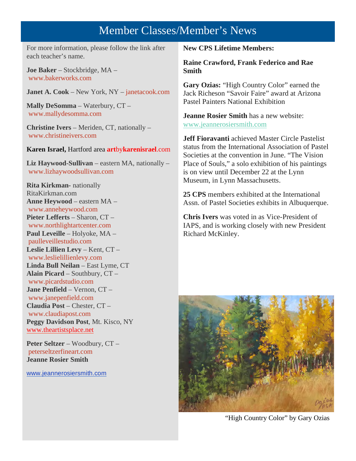## Member Classes/Member's News

For more information, please follow the link after each teacher's name.

**Joe Baker** – Stockbridge, MA – www.bakerworks.com

**Janet A. Cook** – New York, NY – janetacook.com

**Mally DeSomma** – Waterbury, CT – www.mallydesomma.com

**Christine Ivers** – Meriden, CT, nationally – www.christineivers.com

**Karen Israel,** Hartford area **art**by**karenisrael**.com

**Liz Haywood-Sullivan** – eastern MA, nationally – www.lizhaywoodsullivan.com

**Rita Kirkman-** nationally RitaKirkman.com **Anne Heywood** – eastern MA – www.anneheywood.com **Pieter Lefferts** – Sharon, CT – www.northlightartcenter.com **Paul Leveille** – Holyoke, MA – paulleveillestudio.com **Leslie Lillien Levy** – Kent, CT – www.leslielillienlevy.com **Linda Bull Neilan** – East Lyme, CT **Alain Picard** – Southbury, CT – www.picardstudio.com **Jane Penfield** – Vernon, CT – www.janepenfield.com **Claudia Post** – Chester, CT – www.claudiapost.com **Peggy Davidson Post**, Mt. Kisco, NY www.theartistsplace.net

**Peter Seltzer** – Woodbury, CT – peterseltzerfineart.com **Jeanne Rosier Smith**

www.jeannerosiersmith.com

**New CPS Lifetime Members:**

**Raine Crawford, Frank Federico and Rae Smith**

**Gary Ozias:** "High Country Color" earned the Jack Richeson "Savoir Faire" award at Arizona Pastel Painters National Exhibition

**Jeanne Rosier Smith** has a new website: www.jeannerosiersmith.com

**Jeff Fioravanti** achieved Master Circle Pastelist status from the International Association of Pastel Societies at the convention in June. "The Vision Place of Souls," a solo exhibition of his paintings is on view until December 22 at the Lynn Museum, in Lynn Massachusetts.

**25 CPS** members exhibited at the International Assn. of Pastel Societies exhibits in Albuquerque.

**Chris Ivers** was voted in as Vice-President of IAPS, and is working closely with new President Richard McKinley.



"High Country Color" by Gary Ozias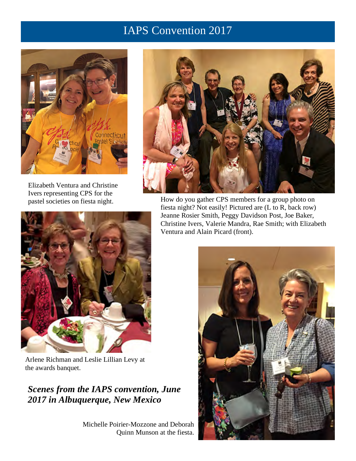# IAPS Convention 2017



Elizabeth Ventura and Christine Ivers representing CPS for the pastel societies on fiesta night.



How do you gather CPS members for a group photo on fiesta night? Not easily! Pictured are (L to R, back row) Jeanne Rosier Smith, Peggy Davidson Post, Joe Baker, Christine Ivers, Valerie Mandra, Rae Smith; with Elizabeth Ventura and Alain Picard (front).



Arlene Richman and Leslie Lillian Levy at the awards banquet.

## *Scenes from the IAPS convention, June 2017 in Albuquerque, New Mexico*

Michelle Poirier-Mozzone and Deborah Quinn Munson at the fiesta.